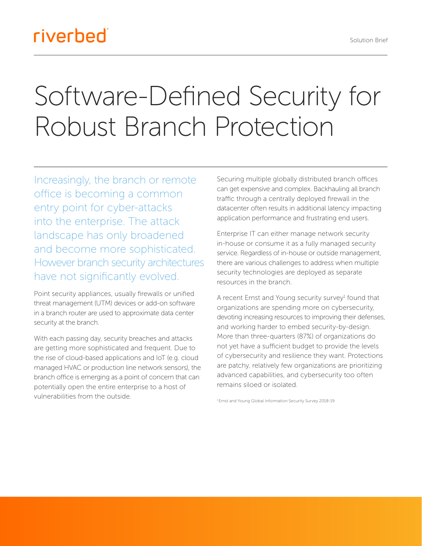## riverbed®

# Software-Defined Security for Robust Branch Protection

Increasingly, the branch or remote office is becoming a common entry point for cyber-attacks into the enterprise. The attack landscape has only broadened and become more sophisticated. However branch security architectures have not significantly evolved.

Point security appliances, usually firewalls or unified threat management (UTM) devices or add-on software in a branch router are used to approximate data center security at the branch.

With each passing day, security breaches and attacks are getting more sophisticated and frequent. Due to the rise of cloud-based applications and IoT (e.g. cloud managed HVAC or production line network sensors), the branch office is emerging as a point of concern that can potentially open the entire enterprise to a host of vulnerabilities from the outside.

Securing multiple globally distributed branch offices can get expensive and complex. Backhauling all branch traffic through a centrally deployed firewall in the datacenter often results in additional latency impacting application performance and frustrating end users.

Enterprise IT can either manage network security in-house or consume it as a fully managed security service. Regardless of in-house or outside management, there are various challenges to address when multiple security technologies are deployed as separate resources in the branch.

A recent Ernst and Young security survey<sup>1</sup> found that organizations are spending more on cybersecurity, devoting increasing resources to improving their defenses, and working harder to embed security-by-design. More than three-quarters (87%) of organizations do not yet have a sufficient budget to provide the levels of cybersecurity and resilience they want. Protections are patchy, relatively few organizations are prioritizing advanced capabilities, and cybersecurity too often remains siloed or isolated.

<sup>1</sup> Ernst and Young Global Information Security Survey 2018-19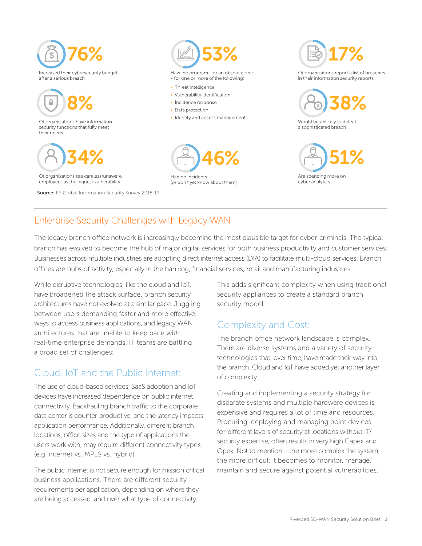

#### Enterprise Security Challenges with Legacy WAN

The legacy branch office network is increasingly becoming the most plausible target for cyber-criminals. The typical branch has evolved to become the hub of major digital services for both business productivity and customer services. Businesses across multiple industries are adopting direct internet access (DIA) to facilitate multi-cloud services. Branch offices are hubs of activity, especially in the banking, financial services, retail and manufacturing industries.

While disruptive technologies, like the cloud and IoT, have broadened the attack surface, branch security architectures have not evolved at a similar pace. Juggling between users demanding faster and more effective ways to access business applications, and legacy WAN architectures that are unable to keep pace with real-time enterprise demands, IT teams are battling a broad set of challenges:

### Cloud, IoT and the Public Internet:

The use of cloud-based services, SaaS adoption and IoT devices have increased dependence on public internet connectivity. Backhauling branch traffic to the corporate data center is counter-productive, and the latency impacts application performance. Additionally, different branch locations, office sizes and the type of applications the users work with, may require different connectivity types (e.g. internet vs. MPLS vs. hybrid).

The public internet is not secure enough for mission critical business applications. There are different security requirements per application, depending on where they are being accessed, and over what type of connectivity.

This adds significant complexity when using traditional security appliances to create a standard branch security model.

#### Complexity and Cost:

The branch office network landscape is complex. There are diverse systems and a variety of security technologies that, over time, have made their way into the branch. Cloud and IoT have added yet another layer of complexity.

Creating and implementing a security strategy for disparate systems and multiple hardware devices is expensive and requires a lot of time and resources. Procuring, deploying and managing point devices for different layers of security at locations without IT/ security expertise, often results in very high Capex and Opex. Not to mention – the more complex the system, the more difficult it becomes to monitor, manage, maintain and secure against potential vulnerabilities.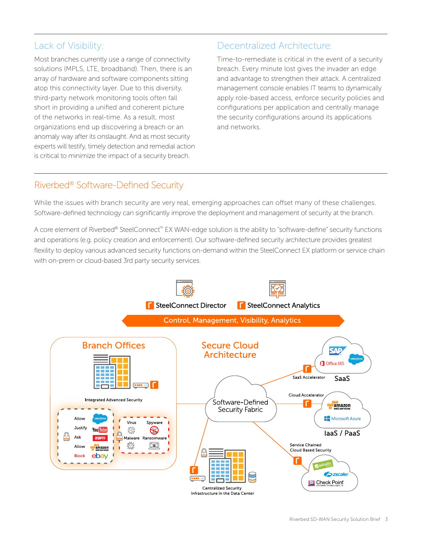#### Lack of Visibility:

Most branches currently use a range of connectivity solutions (MPLS, LTE, broadband). Then, there is an array of hardware and software components sitting atop this connectivity layer. Due to this diversity, third-party network monitoring tools often fall short in providing a unified and coherent picture of the networks in real-time. As a result, most organizations end up discovering a breach or an anomaly way after its onslaught. And as most security experts will testify, timely detection and remedial action is critical to minimize the impact of a security breach.

#### Decentralized Architecture:

Time-to-remediate is critical in the event of a security breach. Every minute lost gives the invader an edge and advantage to strengthen their attack. A centralized management console enables IT teams to dynamically apply role-based access, enforce security policies and configurations per application and centrally manage the security configurations around its applications and networks.

#### Riverbed® Software-Defined Security

While the issues with branch security are very real, emerging approaches can offset many of these challenges. Software-defined technology can significantly improve the deployment and management of security at the branch.

A core element of Riverbed® SteelConnect™ EX WAN-edge solution is the ability to "software-define" security functions and operations (e.g. policy creation and enforcement). Our software-defined security architecture provides greatest flexility to deploy various advanced security functions on-demand within the SteelConnect EX platform or service chain with on-prem or cloud-based 3rd party security services.

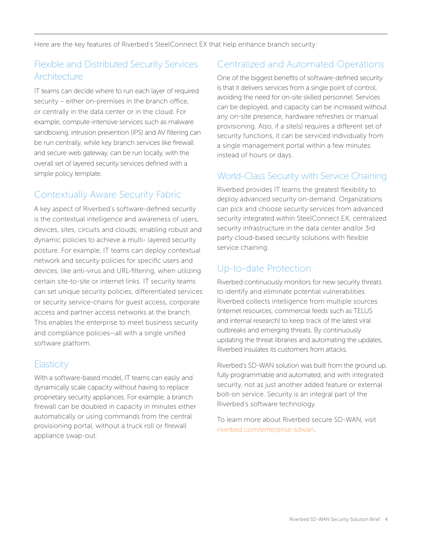Here are the key features of Riverbed's SteelConnect EX that help enhance branch security:

#### Flexible and Distributed Security Services **Architecture**

IT teams can decide where to run each layer of required security – either on-premises in the branch office, or centrally in the data center or in the cloud. For example, compute-intensive services such as malware sandboxing, intrusion prevention (IPS) and AV filtering can be run centrally, while key branch services like firewall and secure web gateway, can be run locally, with the overall set of layered security services defined with a simple policy template.

#### Contextually Aware Security Fabric

A key aspect of Riverbed's software-defined security is the contextual intelligence and awareness of users, devices, sites, circuits and clouds; enabling robust and dynamic policies to achieve a multi- layered security posture. For example, IT teams can deploy contextual network and security policies for specific users and devices, like anti-virus and URL-filtering, when utilizing certain site-to-site or internet links. IT security teams can set unique security policies, differentiated services or security service-chains for guest access, corporate access and partner access networks at the branch. This enables the enterprise to meet business security and compliance policies—all with a single unified software platform.

#### **Elasticity**

With a software-based model, IT teams can easily and dynamically scale capacity without having to replace proprietary security appliances. For example, a branch firewall can be doubled in capacity in minutes either automatically or using commands from the central provisioning portal, without a truck roll or firewall appliance swap-out.

#### Centralized and Automated Operations

One of the biggest benefits of software-defined security is that it delivers services from a single point of control, avoiding the need for on-site skilled personnel. Services can be deployed, and capacity can be increased without any on-site presence, hardware refreshes or manual provisioning. Also, if a site(s) requires a different set of security functions, it can be serviced individually from a single management portal within a few minutes instead of hours or days.

#### World-Class Security with Service Chaining

Riverbed provides IT teams the greatest flexibility to deploy advanced security on-demand. Organizations can pick and choose security services from advanced security integrated within SteelConnect EX, centralized security infrastructure in the data center and/or 3rd party cloud-based security solutions with flexible service chaining.

#### Up-to-date Protection

Riverbed continuously monitors for new security threats to identify and eliminate potential vulnerabilities. Riverbed collects intelligence from multiple sources (internet resources, commercial feeds such as TELUS and internal research) to keep track of the latest viral outbreaks and emerging threats. By continuously updating the threat libraries and automating the updates, Riverbed insulates its customers from attacks.

Riverbed's SD-WAN solution was built from the ground up, fully programmable and automated, and with integrated security, not as just another added feature or external bolt-on service. Security is an integral part of the Riverbed's software technology.

To learn more about Riverbed secure SD-WAN, visit [riverbed.com/enterprise-sdwan](https://www.riverbed.com/products/steelconnect/steelconnect-ex.html).